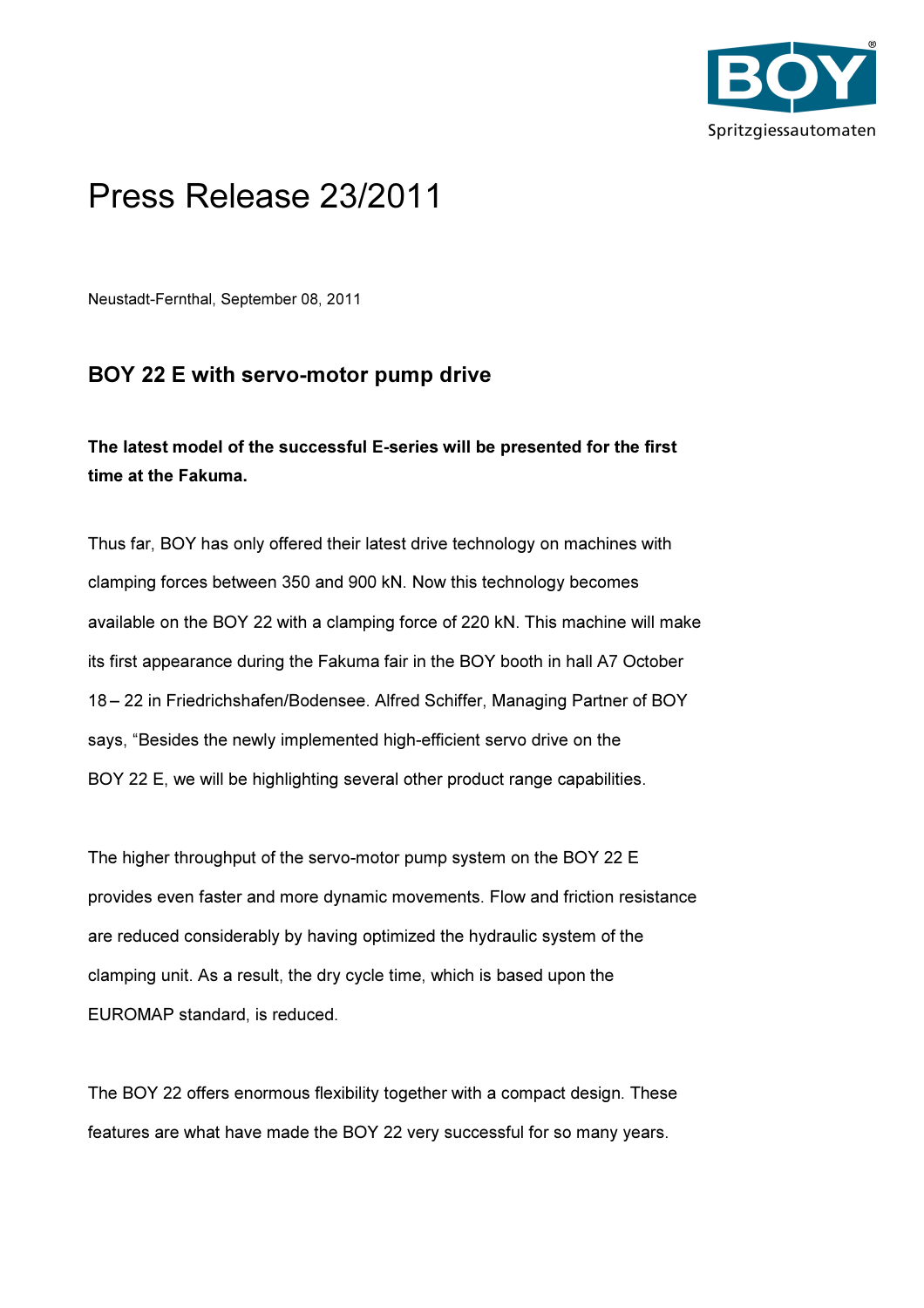

## Press Release 23/2011

Neustadt-Fernthal, September 08, 2011

## BOY 22 E with servo-motor pump drive

## The latest model of the successful E-series will be presented for the first time at the Fakuma.

Thus far, BOY has only offered their latest drive technology on machines with clamping forces between 350 and 900 kN. Now this technology becomes available on the BOY 22 with a clamping force of 220 kN. This machine will make its first appearance during the Fakuma fair in the BOY booth in hall A7 October 18 – 22 in Friedrichshafen/Bodensee. Alfred Schiffer, Managing Partner of BOY says, "Besides the newly implemented high-efficient servo drive on the BOY 22 E, we will be highlighting several other product range capabilities.

The higher throughput of the servo-motor pump system on the BOY 22 E provides even faster and more dynamic movements. Flow and friction resistance are reduced considerably by having optimized the hydraulic system of the clamping unit. As a result, the dry cycle time, which is based upon the EUROMAP standard, is reduced.

The BOY 22 offers enormous flexibility together with a compact design. These features are what have made the BOY 22 very successful for so many years.